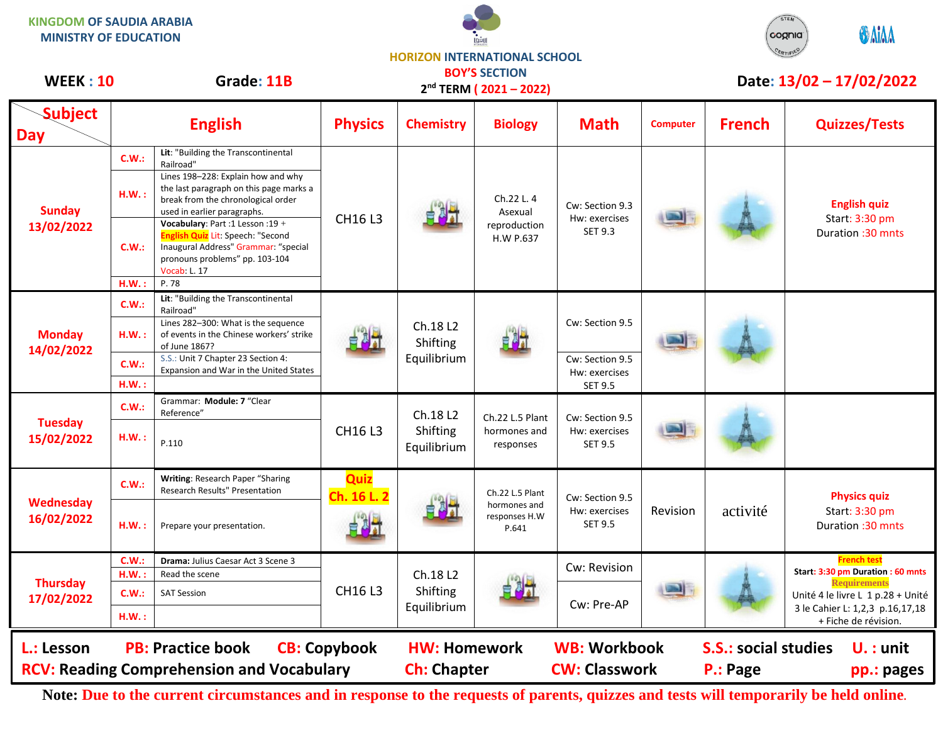**KINGDOM OF SAUDIA ARABIA MINISTRY OF EDUCATION**





## **Subject Day English Physics Chemistry Biology Math Computer French Quizzes/Tests Sunday 13/02/2022 C.W.: Lit**: "Building the Transcontinental Railroad" CH16 L3 Ch.22 L. 4 Asexual reproduction H.W P.637 Cw: Section 9.3 Hw: exercises SET 9.3 **English quiz** Start: 3:30 pm Duration :30 mnts **H.W. :** Lines 198–228: Explain how and why the last paragraph on this page marks a break from the chronological order used in earlier paragraphs. **C.W.: Vocabulary**: Part :1 Lesson :19 + **English Quiz** Lit: Speech: "Second Inaugural Address" Grammar: "special pronouns problems" pp. 103-104 Vocab: L. 17 **H.W. :** P. 78 **Monday 14/02/2022 C.W.: Lit**: "Building the Transcontinental Railroad" Ch.18 L2 Shifting Equilibrium Cw: Section 9.5 **H.W. :** Lines 282–300: What is the sequence of events in the Chinese workers' strike of June 1867? **C.W.:** S.S.: Unit 7 Chapter 23 Section 4: Expansion and War in the United States Cw: Section 9.5 Hw: exercises **H.W. :**  $\begin{vmatrix} 1 & 0 & 0 \\ 0 & 0 & 0 \\ 0 & 0 & 0 \\ 0 & 0 & 0 \\ 0 & 0 & 0 \\ 0 & 0 & 0 \\ 0 & 0 & 0 \\ 0 & 0 & 0 \\ 0 & 0 & 0 \\ 0 & 0 & 0 \\ 0 & 0 & 0 \\ 0 & 0 & 0 \\ 0 & 0 & 0 \\ 0 & 0 & 0 & 0 \\ 0 & 0 & 0 & 0 \\ 0 & 0 & 0 & 0 \\ 0 & 0 & 0 & 0 & 0 \\ 0 & 0 & 0 & 0 & 0 \\ 0 & 0 & 0 & 0 & 0 \\ 0 & 0 & 0$ **Tuesday 15/02/2022 C.W.:** Grammar: **Module: 7** "Clear Reference" CH16 L3 Ch.18 L2 Shifting Equilibrium Ch.22 L.5 Plant hormones and responses Cw: Section 9.5 Hw: exercises SET 9.5  $H.W.: P.110$ **Wednesday 16/02/2022 C.W.: Writing**: Research Paper "Sharing Research Results" Presentation **Quiz Ch. 16 L. 2** Main Ch.22 L.5 Plant hormones and responses H.W P.641 Cw: Section 9.5 Hw: exercises SET 9.5 Revision | activité **Physics quiz** Start: 3:30 pm **H.W. :** Prepare your presentation. The Constant of the Constant of the Constant of the Constant of the Constant of the Constant of the Constant of the Constant of the Constant of the Constant of the Constant of the Consta **Thursday 17/02/2022 C.W.: Drama:** Julius Caesar Act 3 Scene 3 CH16 L3 Ch.18 L2 Shifting Equilibrium Cw: Revision **French test Start: 3:30 pm Duration : 60 mnts Requirements** Unité 4 le livre L 1 p.28 + Unité 3 le Cahier L: 1,2,3 p.16,17,18 + Fiche de révision. **H.W. :** Read the scene **C.W.:** SAT Session Cw: Pre-AP **H.W. : WEEK : 10** Grade: 11B **DOT SECTION Date: 13/02 – 17/02/2022 L.: Lesson PB: Practice book CB: Copybook HW: Homework WB: Workbook S.S.: social studies U. : unit RCV: Reading Comprehension and Vocabulary and Ch: Chapter CW: Classwork P.: Page pp.: pages BOY'S SECTION 2 nd TERM ( 2021 – 2022)**

**Note: Due to the current circumstances and in response to the requests of parents, quizzes and tests will temporarily be held online.**